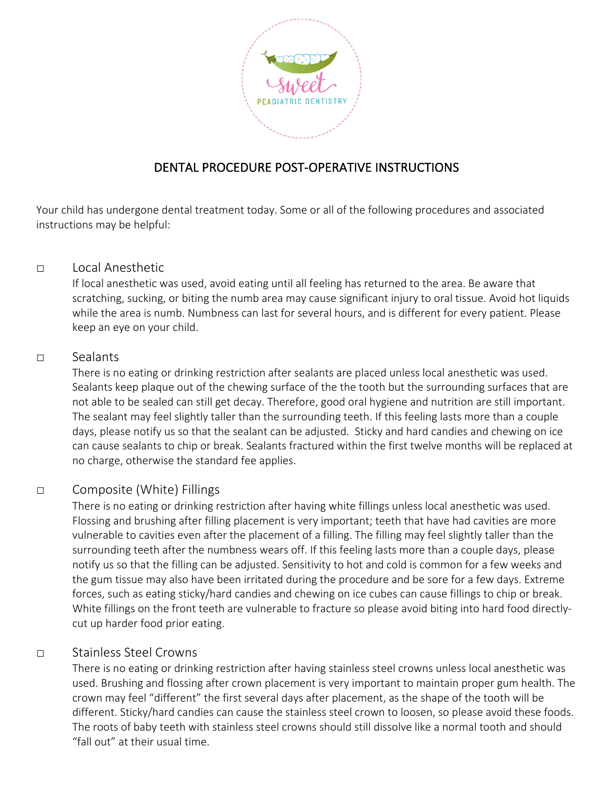

# DENTAL PROCEDURE POST-OPERATIVE INSTRUCTIONS

Your child has undergone dental treatment today. Some or all of the following procedures and associated instructions may be helpful:

### □ Local Anesthetic

If local anesthetic was used, avoid eating until all feeling has returned to the area. Be aware that scratching, sucking, or biting the numb area may cause significant injury to oral tissue. Avoid hot liquids while the area is numb. Numbness can last for several hours, and is different for every patient. Please keep an eye on your child.

### □ Sealants

There is no eating or drinking restriction after sealants are placed unless local anesthetic was used. Sealants keep plaque out of the chewing surface of the the tooth but the surrounding surfaces that are not able to be sealed can still get decay. Therefore, good oral hygiene and nutrition are still important. The sealant may feel slightly taller than the surrounding teeth. If this feeling lasts more than a couple days, please notify us so that the sealant can be adjusted. Sticky and hard candies and chewing on ice can cause sealants to chip or break. Sealants fractured within the first twelve months will be replaced at no charge, otherwise the standard fee applies.

# □ Composite (White) Fillings

There is no eating or drinking restriction after having white fillings unless local anesthetic was used. Flossing and brushing after filling placement is very important; teeth that have had cavities are more vulnerable to cavities even after the placement of a filling. The filling may feel slightly taller than the surrounding teeth after the numbness wears off. If this feeling lasts more than a couple days, please notify us so that the filling can be adjusted. Sensitivity to hot and cold is common for a few weeks and the gum tissue may also have been irritated during the procedure and be sore for a few days. Extreme forces, such as eating sticky/hard candies and chewing on ice cubes can cause fillings to chip or break. White fillings on the front teeth are vulnerable to fracture so please avoid biting into hard food directlycut up harder food prior eating.

### □ Stainless Steel Crowns

There is no eating or drinking restriction after having stainless steel crowns unless local anesthetic was used. Brushing and flossing after crown placement is very important to maintain proper gum health. The crown may feel "different" the first several days after placement, as the shape of the tooth will be different. Sticky/hard candies can cause the stainless steel crown to loosen, so please avoid these foods. The roots of baby teeth with stainless steel crowns should still dissolve like a normal tooth and should "fall out" at their usual time.